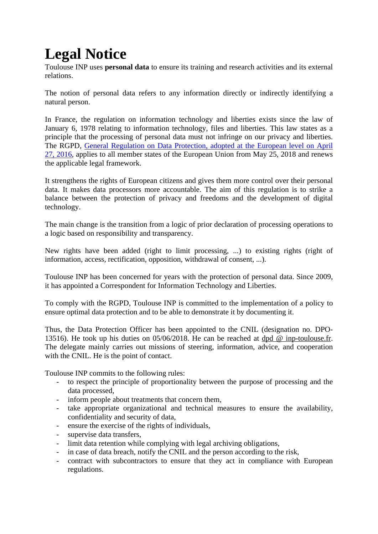## **Legal Notice**

Toulouse INP uses **personal data** to ensure its training and research activities and its external relations.

The notion of personal data refers to any information directly or indirectly identifying a natural person.

In France, the regulation on information technology and liberties exists since the law of January 6, 1978 relating to information technology, files and liberties. This law states as a principle that the processing of personal data must not infringe on our privacy and liberties. The RGPD, General Regulation on Data Protection, adopted at the European level on April 27, 2016, applies to all member states of the European Union from May 25, 2018 and renews the applicable legal framework.

It strengthens the rights of European citizens and gives them more control over their personal data. It makes data processors more accountable. The aim of this regulation is to strike a balance between the protection of privacy and freedoms and the development of digital technology.

The main change is the transition from a logic of prior declaration of processing operations to a logic based on responsibility and transparency.

New rights have been added (right to limit processing, ...) to existing rights (right of information, access, rectification, opposition, withdrawal of consent, ...).

Toulouse INP has been concerned for years with the protection of personal data. Since 2009, it has appointed a Correspondent for Information Technology and Liberties.

To comply with the RGPD, Toulouse INP is committed to the implementation of a policy to ensure optimal data protection and to be able to demonstrate it by documenting it.

Thus, the Data Protection Officer has been appointed to the CNIL (designation no. DPO-13516). He took up his duties on 05/06/2018. He can be reached at dpd @ inp-toulouse.fr. The delegate mainly carries out missions of steering, information, advice, and cooperation with the CNIL. He is the point of contact.

Toulouse INP commits to the following rules:

- to respect the principle of proportionality between the purpose of processing and the data processed,
- inform people about treatments that concern them,
- take appropriate organizational and technical measures to ensure the availability, confidentiality and security of data,
- ensure the exercise of the rights of individuals,
- supervise data transfers.
- limit data retention while complying with legal archiving obligations,
- in case of data breach, notify the CNIL and the person according to the risk,
- contract with subcontractors to ensure that they act in compliance with European regulations.